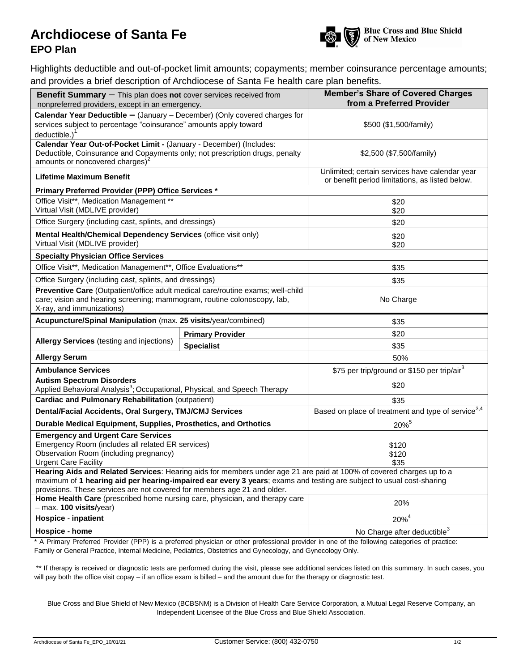## Archdiocese of Santa Fe **Archibian Schill School School Schill School School Schill School School School School School School School School School School School School School School School School School School School Schoo**



## **EPO Plan**

Highlights deductible and out-of-pocket limit amounts; copayments; member coinsurance percentage amounts; and provides a brief description of Archdiocese of Santa Fe health care plan benefits.

| <b>Benefit Summary</b> - This plan does not cover services received from<br>nonpreferred providers, except in an emergency.                                                                        | <b>Member's Share of Covered Charges</b><br>from a Preferred Provider                             |                                                                                                                      |  |  |
|----------------------------------------------------------------------------------------------------------------------------------------------------------------------------------------------------|---------------------------------------------------------------------------------------------------|----------------------------------------------------------------------------------------------------------------------|--|--|
| Calendar Year Deductible - (January - December) (Only covered charges for<br>services subject to percentage "coinsurance" amounts apply toward<br>deductible.)                                     | \$500 (\$1,500/family)                                                                            |                                                                                                                      |  |  |
| Calendar Year Out-of-Pocket Limit - (January - December) (Includes:<br>Deductible, Coinsurance and Copayments only; not prescription drugs, penalty<br>amounts or noncovered charges) <sup>2</sup> | \$2,500 (\$7,500/family)                                                                          |                                                                                                                      |  |  |
| <b>Lifetime Maximum Benefit</b>                                                                                                                                                                    | Unlimited; certain services have calendar year<br>or benefit period limitations, as listed below. |                                                                                                                      |  |  |
| Primary Preferred Provider (PPP) Office Services *                                                                                                                                                 |                                                                                                   |                                                                                                                      |  |  |
| Office Visit**, Medication Management **<br>Virtual Visit (MDLIVE provider)                                                                                                                        | \$20<br>\$20                                                                                      |                                                                                                                      |  |  |
| Office Surgery (including cast, splints, and dressings)                                                                                                                                            | \$20                                                                                              |                                                                                                                      |  |  |
| Mental Health/Chemical Dependency Services (office visit only)<br>Virtual Visit (MDLIVE provider)                                                                                                  | \$20<br>\$20                                                                                      |                                                                                                                      |  |  |
| <b>Specialty Physician Office Services</b>                                                                                                                                                         |                                                                                                   |                                                                                                                      |  |  |
| Office Visit**, Medication Management**, Office Evaluations**                                                                                                                                      | \$35                                                                                              |                                                                                                                      |  |  |
| Office Surgery (including cast, splints, and dressings)                                                                                                                                            | \$35                                                                                              |                                                                                                                      |  |  |
| Preventive Care (Outpatient/office adult medical care/routine exams; well-child<br>care; vision and hearing screening; mammogram, routine colonoscopy, lab,<br>X-ray, and immunizations)           | No Charge                                                                                         |                                                                                                                      |  |  |
| Acupuncture/Spinal Manipulation (max. 25 visits/year/combined)                                                                                                                                     | \$35                                                                                              |                                                                                                                      |  |  |
|                                                                                                                                                                                                    | <b>Primary Provider</b>                                                                           | \$20                                                                                                                 |  |  |
| <b>Allergy Services</b> (testing and injections)                                                                                                                                                   | <b>Specialist</b>                                                                                 | \$35                                                                                                                 |  |  |
| <b>Allergy Serum</b>                                                                                                                                                                               | 50%                                                                                               |                                                                                                                      |  |  |
| <b>Ambulance Services</b>                                                                                                                                                                          | \$75 per trip/ground or \$150 per trip/air <sup>3</sup>                                           |                                                                                                                      |  |  |
| <b>Autism Spectrum Disorders</b><br>Applied Behavioral Analysis <sup>3</sup> ; Occupational, Physical, and Speech Therapy                                                                          |                                                                                                   | \$20                                                                                                                 |  |  |
| <b>Cardiac and Pulmonary Rehabilitation (outpatient)</b>                                                                                                                                           | \$35                                                                                              |                                                                                                                      |  |  |
| Dental/Facial Accidents, Oral Surgery, TMJ/CMJ Services                                                                                                                                            | Based on place of treatment and type of service $\frac{3,4}{3,4}$                                 |                                                                                                                      |  |  |
| Durable Medical Equipment, Supplies, Prosthetics, and Orthotics                                                                                                                                    | 20%                                                                                               |                                                                                                                      |  |  |
| <b>Emergency and Urgent Care Services</b><br>Emergency Room (includes all related ER services)<br>Observation Room (including pregnancy)<br><b>Urgent Care Facility</b>                            |                                                                                                   | \$120<br>\$120<br>\$35                                                                                               |  |  |
| maximum of 1 hearing aid per hearing-impaired ear every 3 years; exams and testing are subject to usual cost-sharing<br>provisions. These services are not covered for members age 21 and older.   |                                                                                                   | Hearing Aids and Related Services: Hearing aids for members under age 21 are paid at 100% of covered charges up to a |  |  |
| Home Health Care (prescribed home nursing care, physician, and therapy care<br>- max. 100 visits/year)                                                                                             | 20%                                                                                               |                                                                                                                      |  |  |
| <b>Hospice - inpatient</b>                                                                                                                                                                         | $20\%^{4}$                                                                                        |                                                                                                                      |  |  |
|                                                                                                                                                                                                    |                                                                                                   |                                                                                                                      |  |  |

\* A Primary Preferred Provider (PPP) is a preferred physician or other professional provider in one of the following categories of practice: Family or General Practice, Internal Medicine, Pediatrics, Obstetrics and Gynecology, and Gynecology Only.

\*\* If therapy is received or diagnostic tests are performed during the visit, please see additional services listed on this summary. In such cases, you will pay both the office visit copay – if an office exam is billed – and the amount due for the therapy or diagnostic test.

Blue Cross and Blue Shield of New Mexico (BCBSNM) is a Division of Health Care Service Corporation, a Mutual Legal Reserve Company, an Independent Licensee of the Blue Cross and Blue Shield Association.